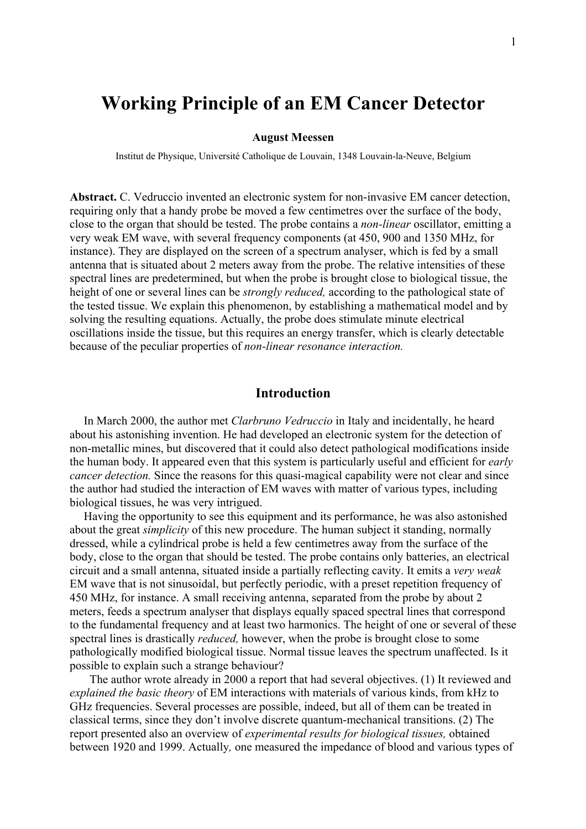# **Working Principle of an EM Cancer Detector**

#### **August Meessen**

Institut de Physique, Université Catholique de Louvain, 1348 Louvain-la-Neuve, Belgium

**Abstract.** C. Vedruccio invented an electronic system for non-invasive EM cancer detection, requiring only that a handy probe be moved a few centimetres over the surface of the body, close to the organ that should be tested. The probe contains a *non-linear* oscillator, emitting a very weak EM wave, with several frequency components (at 450, 900 and 1350 MHz, for instance). They are displayed on the screen of a spectrum analyser, which is fed by a small antenna that is situated about 2 meters away from the probe. The relative intensities of these spectral lines are predetermined, but when the probe is brought close to biological tissue, the height of one or several lines can be *strongly reduced,* according to the pathological state of the tested tissue. We explain this phenomenon, by establishing a mathematical model and by solving the resulting equations. Actually, the probe does stimulate minute electrical oscillations inside the tissue, but this requires an energy transfer, which is clearly detectable because of the peculiar properties of *non-linear resonance interaction.*

## **Introduction**

In March 2000, the author met *Clarbruno Vedruccio* in Italy and incidentally, he heard about his astonishing invention. He had developed an electronic system for the detection of non-metallic mines, but discovered that it could also detect pathological modifications inside the human body. It appeared even that this system is particularly useful and efficient for *early cancer detection.* Since the reasons for this quasi-magical capability were not clear and since the author had studied the interaction of EM waves with matter of various types, including biological tissues, he was very intrigued.

Having the opportunity to see this equipment and its performance, he was also astonished about the great *simplicity* of this new procedure. The human subject it standing, normally dressed, while a cylindrical probe is held a few centimetres away from the surface of the body, close to the organ that should be tested. The probe contains only batteries, an electrical circuit and a small antenna, situated inside a partially reflecting cavity. It emits a *very weak* EM wave that is not sinusoidal, but perfectly periodic, with a preset repetition frequency of 450 MHz, for instance. A small receiving antenna, separated from the probe by about 2 meters, feeds a spectrum analyser that displays equally spaced spectral lines that correspond to the fundamental frequency and at least two harmonics. The height of one or several of these spectral lines is drastically *reduced,* however, when the probe is brought close to some pathologically modified biological tissue. Normal tissue leaves the spectrum unaffected. Is it possible to explain such a strange behaviour?

 The author wrote already in 2000 a report that had several objectives. (1) It reviewed and *explained the basic theory* of EM interactions with materials of various kinds, from kHz to GHz frequencies. Several processes are possible, indeed, but all of them can be treated in classical terms, since they don't involve discrete quantum-mechanical transitions. (2) The report presented also an overview of *experimental results for biological tissues,* obtained between 1920 and 1999. Actually*,* one measured the impedance of blood and various types of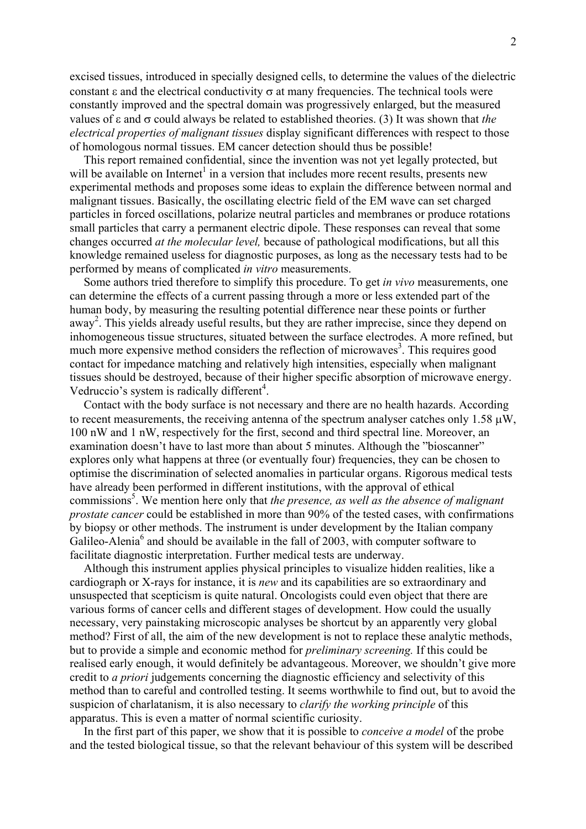excised tissues, introduced in specially designed cells, to determine the values of the dielectric constant  $\varepsilon$  and the electrical conductivity  $\sigma$  at many frequencies. The technical tools were constantly improved and the spectral domain was progressively enlarged, but the measured values of ε and σ could always be related to established theories. (3) It was shown that *the electrical properties of malignant tissues* display significant differences with respect to those of homologous normal tissues. EM cancer detection should thus be possible!

This report remained confidential, since the invention was not yet legally protected, but will be available on Internet<sup>1</sup> in a version that includes more recent results, presents new experimental methods and proposes some ideas to explain the difference between normal and malignant tissues. Basically, the oscillating electric field of the EM wave can set charged particles in forced oscillations, polarize neutral particles and membranes or produce rotations small particles that carry a permanent electric dipole. These responses can reveal that some changes occurred *at the molecular level,* because of pathological modifications, but all this knowledge remained useless for diagnostic purposes, as long as the necessary tests had to be performed by means of complicated *in vitro* measurements.

Some authors tried therefore to simplify this procedure. To get *in vivo* measurements, one can determine the effects of a current passing through a more or less extended part of the human body, by measuring the resulting potential difference near these points or further away<sup>2</sup>. This yields already useful results, but they are rather imprecise, since they depend on inhomogeneous tissue structures, situated between the surface electrodes. A more refined, but much more expensive method considers the reflection of microwaves<sup>3</sup>. This requires good contact for impedance matching and relatively high intensities, especially when malignant tissues should be destroyed, because of their higher specific absorption of microwave energy. Vedruccio's system is radically different<sup>4</sup>.

Contact with the body surface is not necessary and there are no health hazards. According to recent measurements, the receiving antenna of the spectrum analyser catches only 1.58  $\mu$ W, 100 nW and 1 nW, respectively for the first, second and third spectral line. Moreover, an examination doesn't have to last more than about 5 minutes. Although the "bioscanner" explores only what happens at three (or eventually four) frequencies, they can be chosen to optimise the discrimination of selected anomalies in particular organs. Rigorous medical tests have already been performed in different institutions, with the approval of ethical commissions<sup>5</sup>. We mention here only that *the presence, as well as the absence of malignant prostate cancer* could be established in more than 90% of the tested cases, with confirmations by biopsy or other methods. The instrument is under development by the Italian company Galileo-Alenia<sup>6</sup> and should be available in the fall of 2003, with computer software to facilitate diagnostic interpretation. Further medical tests are underway.

Although this instrument applies physical principles to visualize hidden realities, like a cardiograph or X-rays for instance, it is *new* and its capabilities are so extraordinary and unsuspected that scepticism is quite natural. Oncologists could even object that there are various forms of cancer cells and different stages of development. How could the usually necessary, very painstaking microscopic analyses be shortcut by an apparently very global method? First of all, the aim of the new development is not to replace these analytic methods, but to provide a simple and economic method for *preliminary screening.* If this could be realised early enough, it would definitely be advantageous. Moreover, we shouldn't give more credit to *a priori* judgements concerning the diagnostic efficiency and selectivity of this method than to careful and controlled testing. It seems worthwhile to find out, but to avoid the suspicion of charlatanism, it is also necessary to *clarify the working principle* of this apparatus. This is even a matter of normal scientific curiosity.

In the first part of this paper, we show that it is possible to *conceive a model* of the probe and the tested biological tissue, so that the relevant behaviour of this system will be described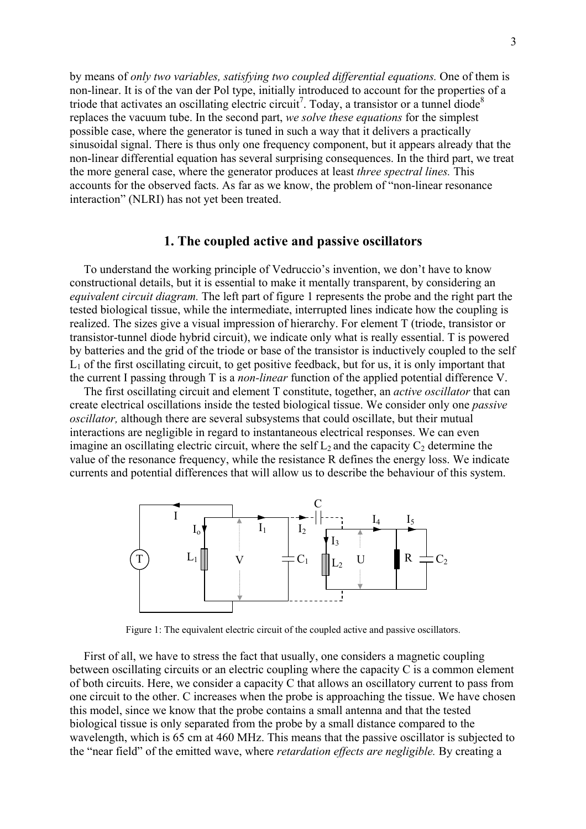by means of *only two variables, satisfying two coupled differential equations.* One of them is non-linear. It is of the van der Pol type, initially introduced to account for the properties of a triode that activates an oscillating electric circuit<sup>7</sup>. Today, a transistor or a tunnel diode<sup>8</sup> replaces the vacuum tube. In the second part, *we solve these equations* for the simplest possible case, where the generator is tuned in such a way that it delivers a practically sinusoidal signal. There is thus only one frequency component, but it appears already that the non-linear differential equation has several surprising consequences. In the third part, we treat the more general case, where the generator produces at least *three spectral lines.* This accounts for the observed facts. As far as we know, the problem of "non-linear resonance interaction" (NLRI) has not yet been treated.

#### **1. The coupled active and passive oscillators**

To understand the working principle of Vedruccio's invention, we don't have to know constructional details, but it is essential to make it mentally transparent, by considering an *equivalent circuit diagram.* The left part of figure 1 represents the probe and the right part the tested biological tissue, while the intermediate, interrupted lines indicate how the coupling is realized. The sizes give a visual impression of hierarchy. For element T (triode, transistor or transistor-tunnel diode hybrid circuit), we indicate only what is really essential. T is powered by batteries and the grid of the triode or base of the transistor is inductively coupled to the self  $L_1$  of the first oscillating circuit, to get positive feedback, but for us, it is only important that the current I passing through T is a *non-linear* function of the applied potential difference V.

The first oscillating circuit and element T constitute, together, an *active oscillator* that can create electrical oscillations inside the tested biological tissue. We consider only one *passive oscillator,* although there are several subsystems that could oscillate, but their mutual interactions are negligible in regard to instantaneous electrical responses. We can even imagine an oscillating electric circuit, where the self  $L_2$  and the capacity  $C_2$  determine the value of the resonance frequency, while the resistance R defines the energy loss. We indicate currents and potential differences that will allow us to describe the behaviour of this system.



Figure 1: The equivalent electric circuit of the coupled active and passive oscillators.

First of all, we have to stress the fact that usually, one considers a magnetic coupling between oscillating circuits or an electric coupling where the capacity C is a common element of both circuits. Here, we consider a capacity C that allows an oscillatory current to pass from one circuit to the other. C increases when the probe is approaching the tissue. We have chosen this model, since we know that the probe contains a small antenna and that the tested biological tissue is only separated from the probe by a small distance compared to the wavelength, which is 65 cm at 460 MHz. This means that the passive oscillator is subjected to the "near field" of the emitted wave, where *retardation effects are negligible.* By creating a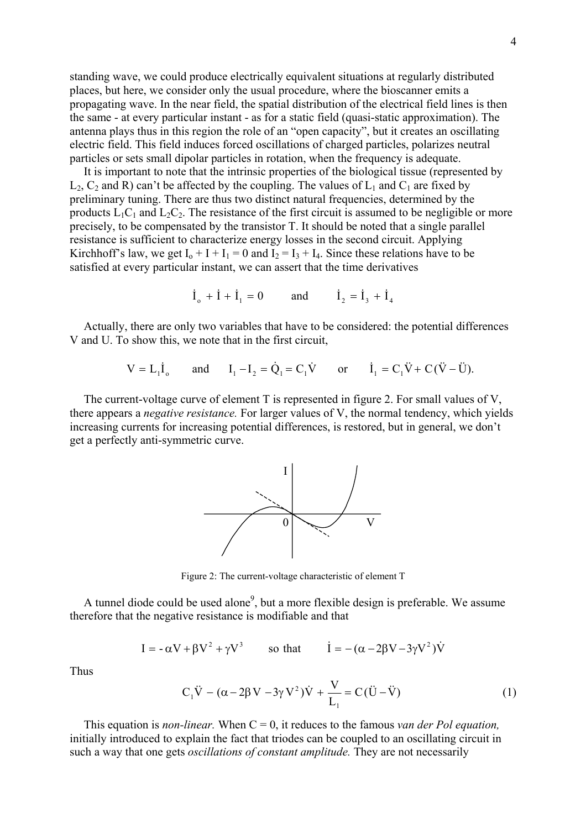standing wave, we could produce electrically equivalent situations at regularly distributed places, but here, we consider only the usual procedure, where the bioscanner emits a propagating wave. In the near field, the spatial distribution of the electrical field lines is then the same - at every particular instant - as for a static field (quasi-static approximation). The antenna plays thus in this region the role of an "open capacity", but it creates an oscillating electric field. This field induces forced oscillations of charged particles, polarizes neutral particles or sets small dipolar particles in rotation, when the frequency is adequate.

It is important to note that the intrinsic properties of the biological tissue (represented by  $L_2$ ,  $C_2$  and R) can't be affected by the coupling. The values of  $L_1$  and  $C_1$  are fixed by preliminary tuning. There are thus two distinct natural frequencies, determined by the products  $L_1C_1$  and  $L_2C_2$ . The resistance of the first circuit is assumed to be negligible or more precisely, to be compensated by the transistor T. It should be noted that a single parallel resistance is sufficient to characterize energy losses in the second circuit. Applying Kirchhoff's law, we get  $I_0 + I + I_1 = 0$  and  $I_2 = I_3 + I_4$ . Since these relations have to be satisfied at every particular instant, we can assert that the time derivatives

 $\dot{I}_1 + \dot{I}_1 = 0$  and  $\dot{I}_2 = \dot{I}_2 + \dot{I}_4$ 

Actually, there are only two variables that have to be considered: the potential differences V and U. To show this, we note that in the first circuit,

$$
V = L_1 \dot{I}_0
$$
 and  $I_1 - I_2 = \dot{Q}_1 = C_1 \dot{V}$  or  $\dot{I}_1 = C_1 \ddot{V} + C(\ddot{V} - \ddot{U})$ .

The current-voltage curve of element T is represented in figure 2. For small values of V, there appears a *negative resistance.* For larger values of V, the normal tendency, which yields increasing currents for increasing potential differences, is restored, but in general, we don't get a perfectly anti-symmetric curve.



Figure 2: The current-voltage characteristic of element T

A tunnel diode could be used alone<sup>9</sup>, but a more flexible design is preferable. We assume therefore that the negative resistance is modifiable and that

$$
I = -\alpha V + \beta V^2 + \gamma V^3
$$
 so that  $\dot{I} = -(\alpha - 2\beta V - 3\gamma V^2)\dot{V}$ 

Thus

$$
C_1\ddot{V} - (\alpha - 2\beta V - 3\gamma V^2)\dot{V} + \frac{V}{L_1} = C(\ddot{U} - \ddot{V})
$$
\n(1)

This equation is *non-linear*. When  $C = 0$ , it reduces to the famous *van der Pol equation*, initially introduced to explain the fact that triodes can be coupled to an oscillating circuit in such a way that one gets *oscillations of constant amplitude.* They are not necessarily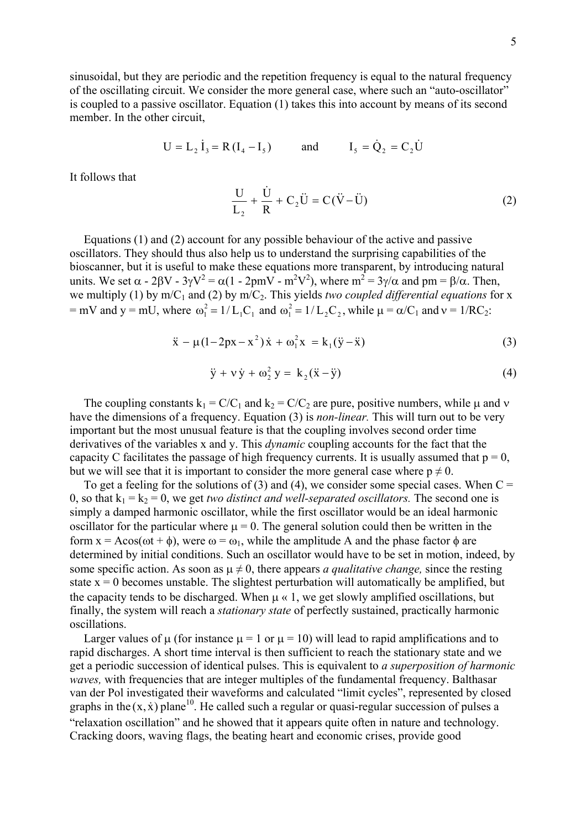sinusoidal, but they are periodic and the repetition frequency is equal to the natural frequency of the oscillating circuit. We consider the more general case, where such an "auto-oscillator" is coupled to a passive oscillator. Equation (1) takes this into account by means of its second member. In the other circuit,

$$
U = L_2 \dot{I}_3 = R (I_4 - I_5)
$$
 and  $I_5 = \dot{Q}_2 = C_2 \dot{U}$ 

It follows that

$$
\frac{\mathbf{U}}{\mathbf{L}_2} + \frac{\dot{\mathbf{U}}}{\mathbf{R}} + \mathbf{C}_2 \ddot{\mathbf{U}} = \mathbf{C} (\ddot{\mathbf{V}} - \ddot{\mathbf{U}}) \tag{2}
$$

Equations (1) and (2) account for any possible behaviour of the active and passive oscillators. They should thus also help us to understand the surprising capabilities of the bioscanner, but it is useful to make these equations more transparent, by introducing natural units. We set  $\alpha$  - 2 $\beta V$  - 3 $\gamma V^2 = \alpha(1 - 2pmV - m^2V^2)$ , where  $m^2 = 3\gamma/\alpha$  and pm =  $\beta/\alpha$ . Then, we multiply (1) by  $m/C_1$  and (2) by  $m/C_2$ . This yields *two coupled differential equations* for x = mV and y = mU, where  $\omega_1^2 = 1/L_1C_1$  and  $\omega_1^2 = 1/L_2C_2$ , while  $\mu = \alpha/C$  $n_1^2 = 1/L_1C_1$  and  $\omega_1^2 = 1/L_2C_2$ , while  $\mu = \alpha/C_1$  and  $v = 1/RC_2$ :

$$
\ddot{x} - \mu(1 - 2px - x^2)\dot{x} + \omega_1^2 x = k_1(\ddot{y} - \ddot{x})
$$
\n(3)

$$
\ddot{y} + v \dot{y} + \omega_2^2 y = k_2(\ddot{x} - \ddot{y})
$$
 (4)

The coupling constants  $k_1 = C/C_1$  and  $k_2 = C/C_2$  are pure, positive numbers, while  $\mu$  and  $\nu$ have the dimensions of a frequency. Equation (3) is *non-linear.* This will turn out to be very important but the most unusual feature is that the coupling involves second order time derivatives of the variables x and y. This *dynamic* coupling accounts for the fact that the capacity C facilitates the passage of high frequency currents. It is usually assumed that  $p = 0$ , but we will see that it is important to consider the more general case where  $p \neq 0$ .

To get a feeling for the solutions of (3) and (4), we consider some special cases. When  $C =$ 0, so that  $k_1 = k_2 = 0$ , we get *two distinct and well-separated oscillators*. The second one is simply a damped harmonic oscillator, while the first oscillator would be an ideal harmonic oscillator for the particular where  $\mu = 0$ . The general solution could then be written in the form  $x = A\cos(\omega t + \phi)$ , were  $\omega = \omega_1$ , while the amplitude A and the phase factor  $\phi$  are determined by initial conditions. Such an oscillator would have to be set in motion, indeed, by some specific action. As soon as  $\mu \neq 0$ , there appears *a qualitative change*, since the resting state  $x = 0$  becomes unstable. The slightest perturbation will automatically be amplified, but the capacity tends to be discharged. When  $\mu \ll 1$ , we get slowly amplified oscillations, but finally, the system will reach a *stationary state* of perfectly sustained, practically harmonic oscillations.

Larger values of  $\mu$  (for instance  $\mu = 1$  or  $\mu = 10$ ) will lead to rapid amplifications and to rapid discharges. A short time interval is then sufficient to reach the stationary state and we get a periodic succession of identical pulses. This is equivalent to *a superposition of harmonic waves*, with frequencies that are integer multiples of the fundamental frequency. Balthasar van der Pol investigated their waveforms and calculated "limit cycles", represented by closed graphs in the  $(x, \dot{x})$  plane<sup>10</sup>. He called such a regular or quasi-regular succession of pulses a "relaxation oscillation" and he showed that it appears quite often in nature and technology. Cracking doors, waving flags, the beating heart and economic crises, provide good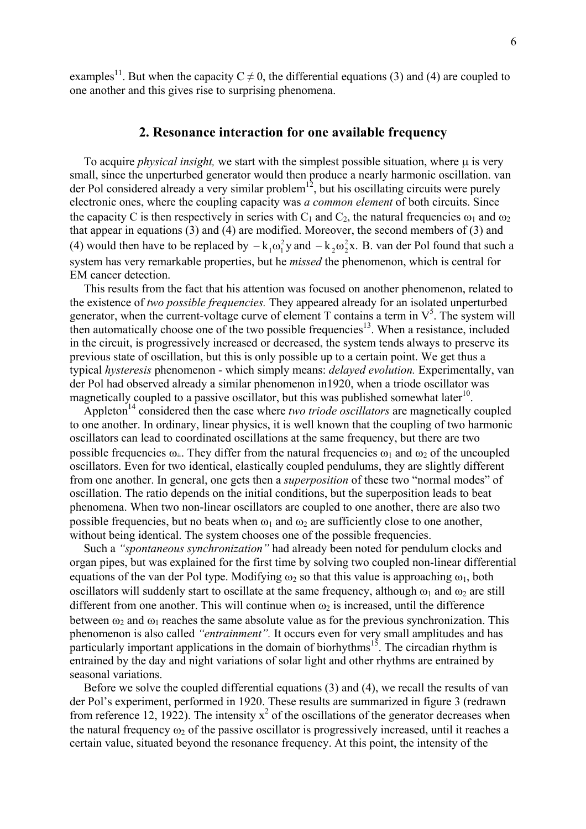examples<sup>11</sup>. But when the capacity  $C \neq 0$ , the differential equations (3) and (4) are coupled to one another and this gives rise to surprising phenomena.

#### **2. Resonance interaction for one available frequency**

To acquire *physical insight*, we start with the simplest possible situation, where  $\mu$  is very small, since the unperturbed generator would then produce a nearly harmonic oscillation. van der Pol considered already a very similar problem<sup>12</sup>, but his oscillating circuits were purely electronic ones, where the coupling capacity was *a common element* of both circuits. Since the capacity C is then respectively in series with  $C_1$  and  $C_2$ , the natural frequencies  $\omega_1$  and  $\omega_2$ that appear in equations (3) and (4) are modified. Moreover, the second members of (3) and (4) would then have to be replaced by  $-k_1\omega_1^2y$  and  $-k_2\omega_2^2x$ . B. van der Pol found that such a system has very remarkable properties, but he *missed* the phenomenon, which is central for EM cancer detection.

This results from the fact that his attention was focused on another phenomenon, related to the existence of *two possible frequencies.* They appeared already for an isolated unperturbed generator, when the current-voltage curve of element  $T$  contains a term in  $V^5$ . The system will then automatically choose one of the two possible frequencies<sup>13</sup>. When a resistance, included in the circuit, is progressively increased or decreased, the system tends always to preserve its previous state of oscillation, but this is only possible up to a certain point. We get thus a typical *hysteresis* phenomenon - which simply means: *delayed evolution.* Experimentally, van der Pol had observed already a similar phenomenon in1920, when a triode oscillator was magnetically coupled to a passive oscillator, but this was published somewhat later<sup>10</sup>.

Appleton<sup>14</sup> considered then the case where *two triode oscillators* are magnetically coupled to one another. In ordinary, linear physics, it is well known that the coupling of two harmonic oscillators can lead to coordinated oscillations at the same frequency, but there are two possible frequencies  $\omega_{\pm}$ . They differ from the natural frequencies  $\omega_1$  and  $\omega_2$  of the uncoupled oscillators. Even for two identical, elastically coupled pendulums, they are slightly different from one another. In general, one gets then a *superposition* of these two "normal modes" of oscillation. The ratio depends on the initial conditions, but the superposition leads to beat phenomena. When two non-linear oscillators are coupled to one another, there are also two possible frequencies, but no beats when  $\omega_1$  and  $\omega_2$  are sufficiently close to one another, without being identical. The system chooses one of the possible frequencies.

Such a *"spontaneous synchronization"* had already been noted for pendulum clocks and organ pipes, but was explained for the first time by solving two coupled non-linear differential equations of the van der Pol type. Modifying  $\omega_2$  so that this value is approaching  $\omega_1$ , both oscillators will suddenly start to oscillate at the same frequency, although  $\omega_1$  and  $\omega_2$  are still different from one another. This will continue when  $\omega_2$  is increased, until the difference between  $\omega_2$  and  $\omega_1$  reaches the same absolute value as for the previous synchronization. This phenomenon is also called *"entrainment".* It occurs even for very small amplitudes and has particularly important applications in the domain of biorhythms<sup>15</sup>. The circadian rhythm is entrained by the day and night variations of solar light and other rhythms are entrained by seasonal variations.

Before we solve the coupled differential equations (3) and (4), we recall the results of van der Pol's experiment, performed in 1920. These results are summarized in figure 3 (redrawn from reference 12, 1922). The intensity  $x^2$  of the oscillations of the generator decreases when the natural frequency  $\omega_2$  of the passive oscillator is progressively increased, until it reaches a certain value, situated beyond the resonance frequency. At this point, the intensity of the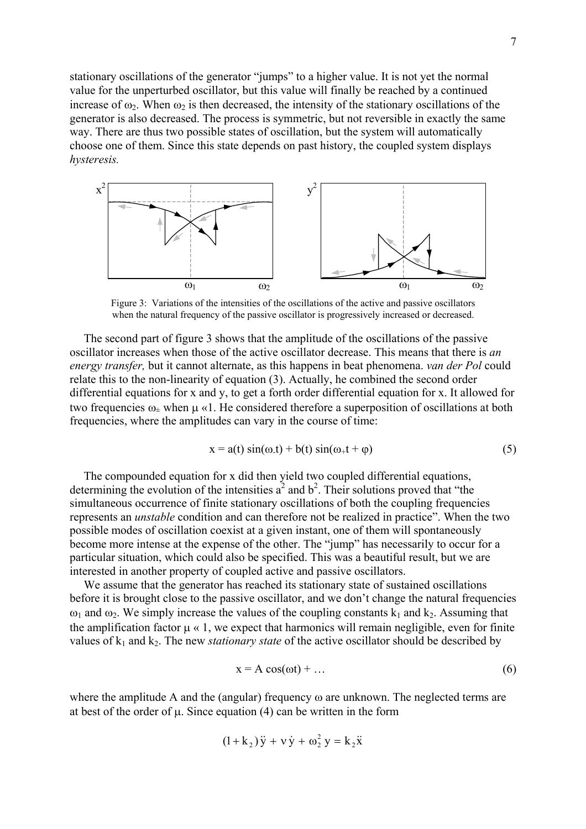stationary oscillations of the generator "jumps" to a higher value. It is not yet the normal value for the unperturbed oscillator, but this value will finally be reached by a continued increase of  $\omega_2$ . When  $\omega_2$  is then decreased, the intensity of the stationary oscillations of the generator is also decreased. The process is symmetric, but not reversible in exactly the same way. There are thus two possible states of oscillation, but the system will automatically choose one of them. Since this state depends on past history, the coupled system displays *hysteresis.*



Figure 3: Variations of the intensities of the oscillations of the active and passive oscillators when the natural frequency of the passive oscillator is progressively increased or decreased.

The second part of figure 3 shows that the amplitude of the oscillations of the passive oscillator increases when those of the active oscillator decrease. This means that there is *an energy transfer,* but it cannot alternate, as this happens in beat phenomena. *van der Pol* could relate this to the non-linearity of equation (3). Actually, he combined the second order differential equations for x and y, to get a forth order differential equation for x. It allowed for two frequencies  $\omega_{+}$  when  $\mu \ll 1$ . He considered therefore a superposition of oscillations at both frequencies, where the amplitudes can vary in the course of time:

$$
x = a(t) \sin(\omega \cdot t) + b(t) \sin(\omega_+ t + \varphi)
$$
 (5)

The compounded equation for x did then yield two coupled differential equations, determining the evolution of the intensities  $a^2$  and  $b^2$ . Their solutions proved that "the simultaneous occurrence of finite stationary oscillations of both the coupling frequencies represents an *unstable* condition and can therefore not be realized in practice". When the two possible modes of oscillation coexist at a given instant, one of them will spontaneously become more intense at the expense of the other. The "jump" has necessarily to occur for a particular situation, which could also be specified. This was a beautiful result, but we are interested in another property of coupled active and passive oscillators.

We assume that the generator has reached its stationary state of sustained oscillations before it is brought close to the passive oscillator, and we don't change the natural frequencies  $ω_1$  and  $ω_2$ . We simply increase the values of the coupling constants k<sub>1</sub> and k<sub>2</sub>. Assuming that the amplification factor  $\mu \ll 1$ , we expect that harmonics will remain negligible, even for finite values of k<sub>1</sub> and k<sub>2</sub>. The new *stationary state* of the active oscillator should be described by

$$
x = A \cos(\omega t) + \dots \tag{6}
$$

where the amplitude A and the (angular) frequency ω are unknown. The neglected terms are at best of the order of  $\mu$ . Since equation (4) can be written in the form

$$
(1 + k2) \ddot{y} + v \dot{y} + \omega22 y = k2 \ddot{x}
$$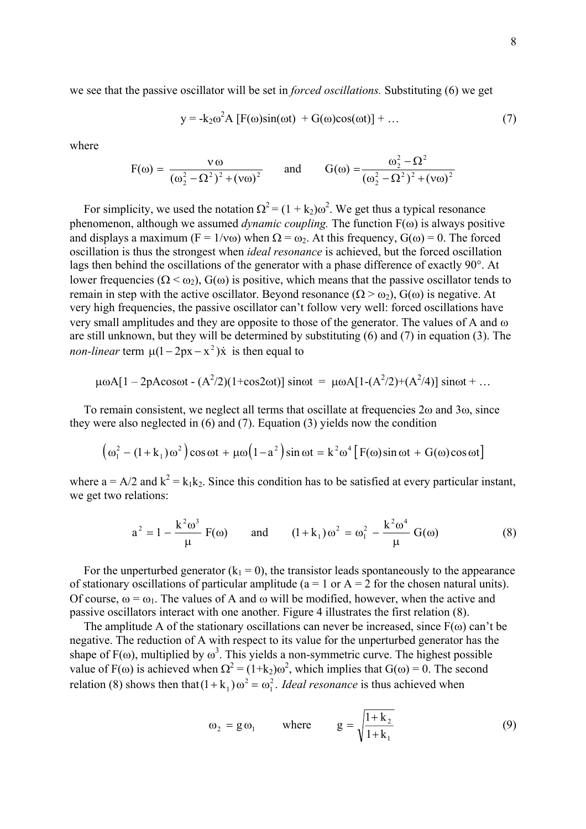we see that the passive oscillator will be set in *forced oscillations.* Substituting (6) we get

$$
y = -k_2 \omega^2 A [F(\omega) \sin(\omega t) + G(\omega) \cos(\omega t)] + ... \qquad (7)
$$

where

$$
F(\omega) = \frac{v \omega}{(\omega_2^2 - \Omega^2)^2 + (v \omega)^2}
$$
 and 
$$
G(\omega) = \frac{\omega_2^2 - \Omega^2}{(\omega_2^2 - \Omega^2)^2 + (v \omega)^2}
$$

For simplicity, we used the notation  $\Omega^2 = (1 + k_2)\omega^2$ . We get thus a typical resonance phenomenon, although we assumed *dynamic coupling.* The function F(ω) is always positive and displays a maximum ( $F = 1/v\omega$ ) when  $\Omega = \omega_2$ . At this frequency,  $G(\omega) = 0$ . The forced oscillation is thus the strongest when *ideal resonance* is achieved, but the forced oscillation lags then behind the oscillations of the generator with a phase difference of exactly 90°. At lower frequencies ( $Ω < ω<sub>2</sub>$ ),  $G(ω)$  is positive, which means that the passive oscillator tends to remain in step with the active oscillator. Beyond resonance  $(Q > \omega_2)$ ,  $G(\omega)$  is negative. At very high frequencies, the passive oscillator can't follow very well: forced oscillations have very small amplitudes and they are opposite to those of the generator. The values of A and ω are still unknown, but they will be determined by substituting (6) and (7) in equation (3). The *non-linear* term  $\mu(1 - 2px - x^2)\dot{x}$  is then equal to

$$
\mu \omega A[1 - 2pA \cos \omega t - (A^2/2)(1 + \cos 2\omega t)] \sin \omega t = \mu \omega A[1 - (A^2/2) + (A^2/4)] \sin \omega t + ...
$$

To remain consistent, we neglect all terms that oscillate at frequencies 2ω and 3ω, since they were also neglected in (6) and (7). Equation (3) yields now the condition

$$
(\omega_1^2 - (1 + k_1)\omega^2)\cos \omega t + \mu \omega (1 - a^2)\sin \omega t = k^2 \omega^4 [F(\omega)\sin \omega t + G(\omega)\cos \omega t]
$$

where  $a = A/2$  and  $k^2 = k_1k_2$ . Since this condition has to be satisfied at every particular instant, we get two relations:

$$
a^{2} = 1 - \frac{k^{2} \omega^{3}}{\mu} F(\omega) \quad \text{and} \quad (1 + k_{1}) \omega^{2} = \omega_{1}^{2} - \frac{k^{2} \omega^{4}}{\mu} G(\omega) \tag{8}
$$

For the unperturbed generator  $(k_1 = 0)$ , the transistor leads spontaneously to the appearance of stationary oscillations of particular amplitude ( $a = 1$  or  $A = 2$  for the chosen natural units). Of course,  $\omega = \omega_1$ . The values of A and  $\omega$  will be modified, however, when the active and passive oscillators interact with one another. Figure 4 illustrates the first relation (8).

The amplitude A of the stationary oscillations can never be increased, since  $F(\omega)$  can't be negative. The reduction of A with respect to its value for the unperturbed generator has the shape of  $F(\omega)$ , multiplied by  $\omega^3$ . This yields a non-symmetric curve. The highest possible value of F( $\omega$ ) is achieved when  $\Omega^2 = (1 + k_2) \omega^2$ , which implies that  $G(\omega) = 0$ . The second relation (8) shows then that  $(1 + k_1) \omega^2 = \omega_1^2$ . *Ideal resonance* is thus achieved when

$$
\omega_2 = g \omega_1 \qquad \text{where} \qquad g = \sqrt{\frac{1 + k_2}{1 + k_1}} \tag{9}
$$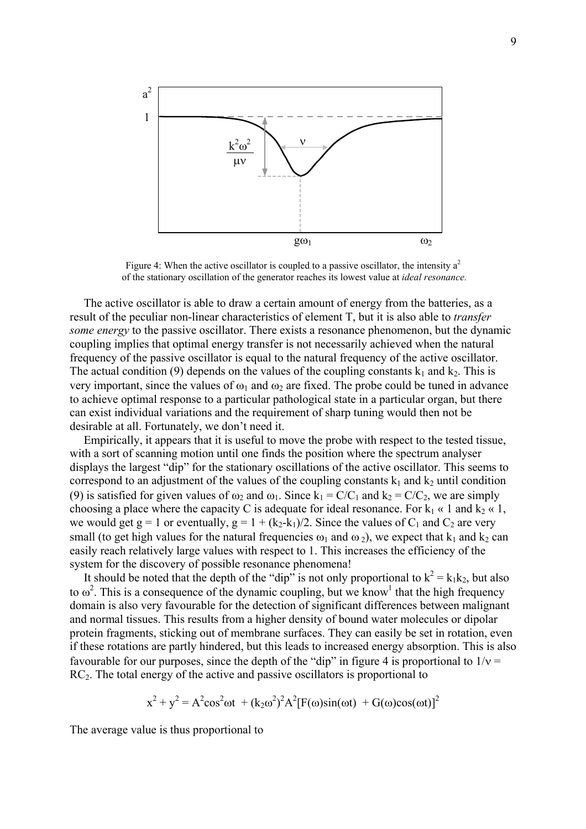

Figure 4: When the active oscillator is coupled to a passive oscillator, the intensity  $a^2$ of the stationary oscillation of the generator reaches its lowest value at *ideal resonance.*

The active oscillator is able to draw a certain amount of energy from the batteries, as a result of the peculiar non-linear characteristics of element T, but it is also able to *transfer some energy* to the passive oscillator. There exists a resonance phenomenon, but the dynamic coupling implies that optimal energy transfer is not necessarily achieved when the natural frequency of the passive oscillator is equal to the natural frequency of the active oscillator. The actual condition (9) depends on the values of the coupling constants  $k_1$  and  $k_2$ . This is very important, since the values of  $\omega_1$  and  $\omega_2$  are fixed. The probe could be tuned in advance to achieve optimal response to a particular pathological state in a particular organ, but there can exist individual variations and the requirement of sharp tuning would then not be desirable at all. Fortunately, we don't need it.

Empirically, it appears that it is useful to move the probe with respect to the tested tissue, with a sort of scanning motion until one finds the position where the spectrum analyser displays the largest "dip" for the stationary oscillations of the active oscillator. This seems to correspond to an adjustment of the values of the coupling constants  $k_1$  and  $k_2$  until condition (9) is satisfied for given values of  $\omega_2$  and  $\omega_1$ . Since  $k_1 = C/C_1$  and  $k_2 = C/C_2$ , we are simply choosing a place where the capacity C is adequate for ideal resonance. For  $k_1 \ll 1$  and  $k_2 \ll 1$ , we would get  $g = 1$  or eventually,  $g = 1 + (k_2 - k_1)/2$ . Since the values of  $C_1$  and  $C_2$  are very small (to get high values for the natural frequencies  $\omega_1$  and  $\omega_2$ ), we expect that  $k_1$  and  $k_2$  can easily reach relatively large values with respect to 1. This increases the efficiency of the system for the discovery of possible resonance phenomena!

It should be noted that the depth of the "dip" is not only proportional to  $k^2 = k_1 k_2$ , but also to  $\omega^2$ . This is a consequence of the dynamic coupling, but we know<sup>1</sup> that the high frequency domain is also very favourable for the detection of significant differences between malignant and normal tissues. This results from a higher density of bound water molecules or dipolar protein fragments, sticking out of membrane surfaces. They can easily be set in rotation, even if these rotations are partly hindered, but this leads to increased energy absorption. This is also favourable for our purposes, since the depth of the "dip" in figure 4 is proportional to  $1/v =$  $RC<sub>2</sub>$ . The total energy of the active and passive oscillators is proportional to

$$
x^{2} + y^{2} = A^{2} \cos^{2} \omega t + (k_{2} \omega^{2})^{2} A^{2} [F(\omega) \sin(\omega t) + G(\omega) \cos(\omega t)]^{2}
$$

The average value is thus proportional to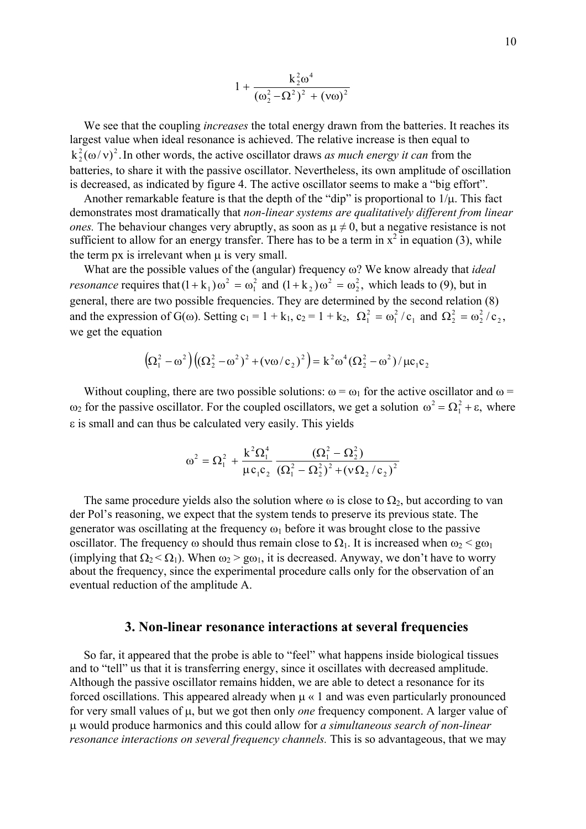$$
1 + \frac{k_2^2 \omega^4}{(\omega_2^2 - \Omega^2)^2 + (v \omega)^2}
$$

We see that the coupling *increases* the total energy drawn from the batteries. It reaches its largest value when ideal resonance is achieved. The relative increase is then equal to  $k_2^2(\omega/v)^2$ . In other words, the active oscillator draws *as much energy it can* from the batteries, to share it with the passive oscillator. Nevertheless, its own amplitude of oscillation is decreased, as indicated by figure 4. The active oscillator seems to make a "big effort".

Another remarkable feature is that the depth of the "dip" is proportional to  $1/\mu$ . This fact demonstrates most dramatically that *non-linear systems are qualitatively different from linear ones.* The behaviour changes very abruptly, as soon as  $\mu \neq 0$ , but a negative resistance is not sufficient to allow for an energy transfer. There has to be a term in  $x^2$  in equation (3), while the term  $px$  is irrelevant when  $\mu$  is very small.

What are the possible values of the (angular) frequency ω? We know already that *ideal resonance* requires that  $(1 + k_1)\omega^2 = \omega_1^2$  and  $(1 + k_2)\omega^2 = \omega_2^2$ , which leads to (9), but in general, there are two possible frequencies. They are determined by the second relation (8) and the expression of G( $\omega$ ). Setting  $c_1 = 1 + k_1$ ,  $c_2 = 1 + k_2$ ,  $\Omega_1^2 = \omega_1^2/c_1$  and  $\Omega$ 1  $(1 + k_1)\omega^2 = \omega_1^2$  and  $(1 + k_2)\omega^2 = \omega_2^2$ ,  $+k_2$ )  $\omega^2 = \omega_2^2$ we get the equation 2 1  $\Omega_1^2 = \omega_1^2 / c_1$  and  $\Omega_2^2 = \omega_2^2 / c_2$ , 2  $2^2 = \omega$ 

$$
(\Omega_1^2 - \omega^2)((\Omega_2^2 - \omega^2)^2 + (\nu \omega/c_2)^2) = k^2 \omega^4 (\Omega_2^2 - \omega^2) / \mu c_1 c_2
$$

Without coupling, there are two possible solutions:  $\omega = \omega_1$  for the active oscillator and  $\omega =$ ω<sub>2</sub> for the passive oscillator. For the coupled oscillators, we get a solution  $ω^2 = Ω_1^2 + ε$ , where ε is small and can thus be calculated very easily. This yields

$$
\omega^2 = \Omega_1^2 + \frac{k^2 \Omega_1^4}{\mu c_1 c_2} \frac{(\Omega_1^2 - \Omega_2^2)}{(\Omega_1^2 - \Omega_2^2)^2 + (\nu \Omega_2/c_2)^2}
$$

The same procedure yields also the solution where  $\omega$  is close to  $\Omega_2$ , but according to van der Pol's reasoning, we expect that the system tends to preserve its previous state. The generator was oscillating at the frequency  $\omega_1$  before it was brought close to the passive oscillator. The frequency  $\omega$  should thus remain close to  $\Omega_1$ . It is increased when  $\omega_2 < g\omega_1$ (implying that  $\Omega_2 < \Omega_1$ ). When  $\omega_2 > g\omega_1$ , it is decreased. Anyway, we don't have to worry about the frequency, since the experimental procedure calls only for the observation of an eventual reduction of the amplitude A.

### **3. Non-linear resonance interactions at several frequencies**

So far, it appeared that the probe is able to "feel" what happens inside biological tissues and to "tell" us that it is transferring energy, since it oscillates with decreased amplitude. Although the passive oscillator remains hidden, we are able to detect a resonance for its forced oscillations. This appeared already when  $\mu \ll 1$  and was even particularly pronounced for very small values of µ, but we got then only *one* frequency component. A larger value of µ would produce harmonics and this could allow for *a simultaneous search of non-linear resonance interactions on several frequency channels. This is so advantageous, that we may*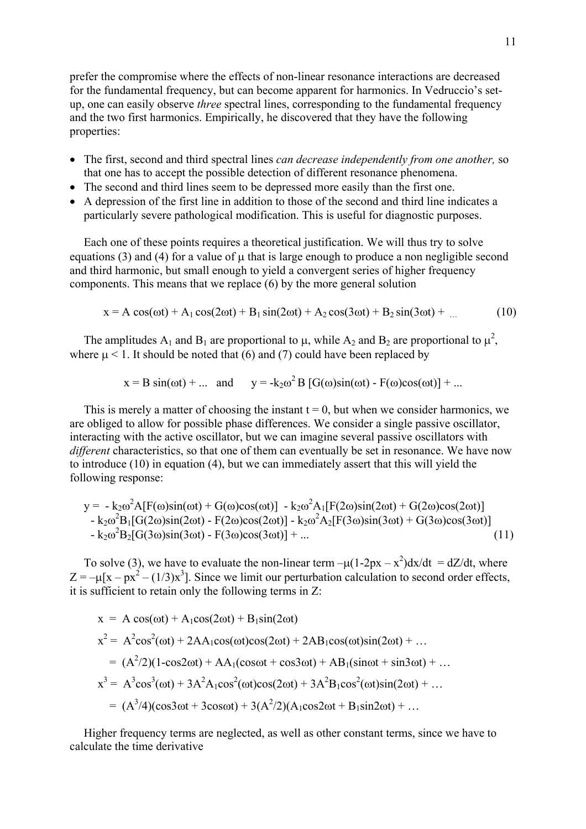prefer the compromise where the effects of non-linear resonance interactions are decreased for the fundamental frequency, but can become apparent for harmonics. In Vedruccio's setup, one can easily observe *three* spectral lines, corresponding to the fundamental frequency and the two first harmonics. Empirically, he discovered that they have the following properties:

- The first, second and third spectral lines *can decrease independently from one another,* so that one has to accept the possible detection of different resonance phenomena.
- The second and third lines seem to be depressed more easily than the first one.
- A depression of the first line in addition to those of the second and third line indicates a particularly severe pathological modification. This is useful for diagnostic purposes.

Each one of these points requires a theoretical justification. We will thus try to solve equations (3) and (4) for a value of  $\mu$  that is large enough to produce a non negligible second and third harmonic, but small enough to yield a convergent series of higher frequency components. This means that we replace (6) by the more general solution

$$
x = A\cos(\omega t) + A_1\cos(2\omega t) + B_1\sin(2\omega t) + A_2\cos(3\omega t) + B_2\sin(3\omega t) + ... \qquad (10)
$$

The amplitudes  $A_1$  and  $B_1$  are proportional to  $\mu$ , while  $A_2$  and  $B_2$  are proportional to  $\mu^2$ , where  $\mu$  < 1. It should be noted that (6) and (7) could have been replaced by

$$
x = B \sin(\omega t) + ...
$$
 and  $y = -k_2 \omega^2 B [G(\omega) \sin(\omega t) - F(\omega) \cos(\omega t)] + ...$ 

This is merely a matter of choosing the instant  $t = 0$ , but when we consider harmonics, we are obliged to allow for possible phase differences. We consider a single passive oscillator, interacting with the active oscillator, but we can imagine several passive oscillators with *different* characteristics, so that one of them can eventually be set in resonance. We have now to introduce (10) in equation (4), but we can immediately assert that this will yield the following response:

$$
y = -k_{2}\omega^{2}A[F(\omega)\sin(\omega t) + G(\omega)\cos(\omega t)] - k_{2}\omega^{2}A_{1}[F(2\omega)\sin(2\omega t) + G(2\omega)\cos(2\omega t)] - k_{2}\omega^{2}B_{1}[G(2\omega)\sin(2\omega t) - F(2\omega)\cos(2\omega t)] - k_{2}\omega^{2}A_{2}[F(3\omega)\sin(3\omega t) + G(3\omega)\cos(3\omega t)] - k_{2}\omega^{2}B_{2}[G(3\omega)\sin(3\omega t) - F(3\omega)\cos(3\omega t)] + ... \qquad (11)
$$

To solve (3), we have to evaluate the non-linear term  $-\mu(1-2px - x^2)dx/dt = dZ/dt$ , where  $Z = -\mu [x - px^2 - (1/3)x^3]$ . Since we limit our perturbation calculation to second order effects, it is sufficient to retain only the following terms in Z:

$$
x = A \cos(\omega t) + A_1 \cos(2\omega t) + B_1 \sin(2\omega t)
$$
  
\n
$$
x^2 = A^2 \cos^2(\omega t) + 2AA_1 \cos(\omega t) \cos(2\omega t) + 2AB_1 \cos(\omega t) \sin(2\omega t) + ...
$$
  
\n
$$
= (A^2/2)(1 - \cos 2\omega t) + AA_1(\cos \omega t + \cos 3\omega t) + AB_1(\sin \omega t + \sin 3\omega t) + ...
$$
  
\n
$$
x^3 = A^3 \cos^3(\omega t) + 3A^2 A_1 \cos^2(\omega t) \cos(2\omega t) + 3A^2 B_1 \cos^2(\omega t) \sin(2\omega t) + ...
$$
  
\n
$$
= (A^3/4)(\cos 3\omega t + 3\cos \omega t) + 3(A^2/2)(A_1 \cos 2\omega t + B_1 \sin 2\omega t) + ...
$$

Higher frequency terms are neglected, as well as other constant terms, since we have to calculate the time derivative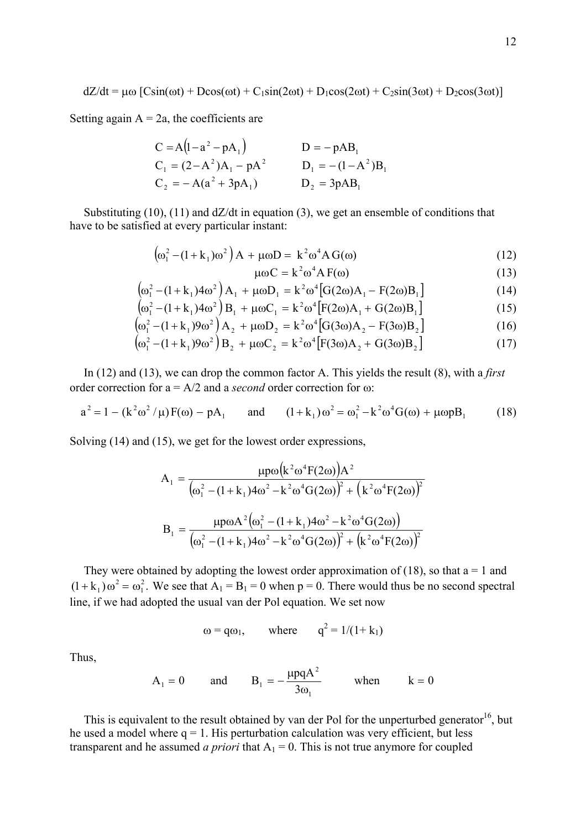$dZ/dt = \mu\omega$   $[C\sin(\omega t) + D\cos(\omega t) + C_1\sin(2\omega t) + D_1\cos(2\omega t) + C_2\sin(3\omega t) + D_2\cos(3\omega t)]$ 

Setting again  $A = 2a$ , the coefficients are

 $\mathcal{L}$ 

$$
C = A(1 - a2 - pA1)
$$
  
\n
$$
C1 = (2 - A2)A1 - pA2
$$
  
\n
$$
C2 = -A(a2 + 3pA1)
$$
  
\n
$$
D1 = -(1 - A2)B1
$$
  
\n
$$
D2 = 3pAB1
$$

Substituting  $(10)$ ,  $(11)$  and  $\frac{dZ}{dt}$  in equation  $(3)$ , we get an ensemble of conditions that have to be satisfied at every particular instant:

$$
\left(\omega_1^2 - (1 + k_1)\omega^2\right)A + \mu\omega D = k^2\omega^4 A G(\omega)
$$
\n(12)

$$
\mu\omega C = k^2 \omega^4 A F(\omega)
$$
 (13)

$$
\left(\omega_1^2 - (1 + k_1)4\omega^2\right) A_1 + \mu \omega D_1 = k^2 \omega^4 \left[G(2\omega) A_1 - F(2\omega) B_1\right]
$$
\n(14)

$$
\left(\omega_1^2 - (1 + k_1)4\omega^2\right)B_1 + \mu\omega C_1 = k^2\omega^4 \left[F(2\omega)A_1 + G(2\omega)B_1\right]
$$
\n(15)

$$
\left(\omega_1^2 - (1 + k_1)9\omega^2\right) A_2 + \mu \omega D_2 = k^2 \omega^4 \left[G(3\omega) A_2 - F(3\omega) B_2\right]
$$
 (16)

$$
\left(\omega_1^2 - (1 + k_1)9\omega^2\right)B_2 + \mu\omega C_2 = k^2\omega^4 \left[F(3\omega)A_2 + G(3\omega)B_2\right]
$$
 (17)

In (12) and (13), we can drop the common factor A. This yields the result (8), with a *first* order correction for a = A/2 and a *second* order correction for ω:

$$
a^{2} = 1 - (k^{2} \omega^{2} / \mu) F(\omega) - pA_{1} \quad \text{and} \quad (1 + k_{1}) \omega^{2} = \omega_{1}^{2} - k^{2} \omega^{4} G(\omega) + \mu \omega pB_{1} \quad (18)
$$

Solving (14) and (15), we get for the lowest order expressions,

$$
A_1 = \frac{\mu p \omega (k^2 \omega^4 F(2\omega)) A^2}{(\omega_1^2 - (1 + k_1)4\omega^2 - k^2 \omega^4 G(2\omega))^2 + (k^2 \omega^4 F(2\omega))^2}
$$
  
\n
$$
B_1 = \frac{\mu p \omega A^2 (\omega_1^2 - (1 + k_1)4\omega^2 - k^2 \omega^4 G(2\omega))}{(\omega_1^2 - (1 + k_1)4\omega^2 - k^2 \omega^4 G(2\omega))^2 + (k^2 \omega^4 F(2\omega))^2}
$$

They were obtained by adopting the lowest order approximation of (18), so that  $a = 1$  and  $(1 + k_1) \omega^2 = \omega_1^2$ . We see that  $A_1 = B_1 = 0$  when  $p = 0$ . There would thus be no second spectral line, if we had adopted the usual van der Pol equation. We set now

$$
\omega = q\omega_1
$$
, where  $q^2 = 1/(1 + k_1)$ 

Thus,

$$
A_1 = 0
$$
 and  $B_1 = -\frac{\mu pqA^2}{3\omega_1}$  when  $k = 0$ 

This is equivalent to the result obtained by van der Pol for the unperturbed generator<sup>16</sup>, but he used a model where  $q = 1$ . His perturbation calculation was very efficient, but less transparent and he assumed *a priori* that  $A_1 = 0$ . This is not true anymore for coupled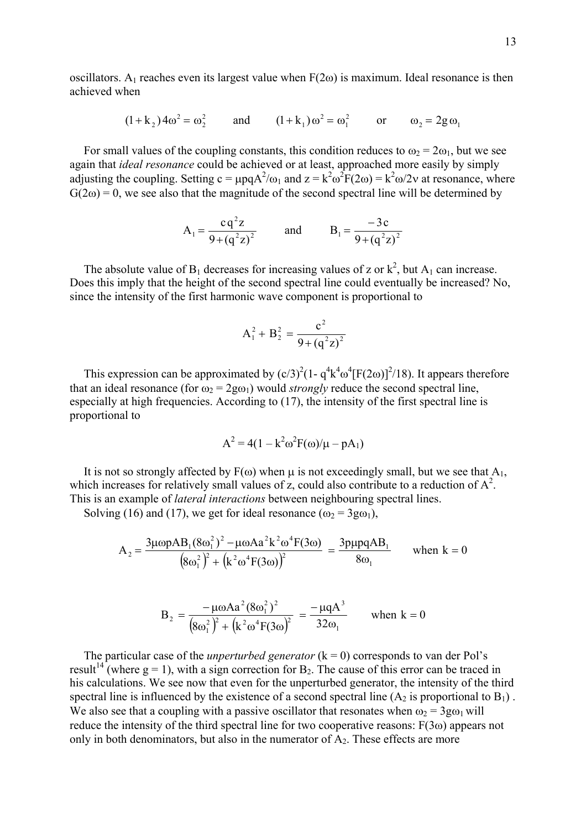oscillators. A<sub>1</sub> reaches even its largest value when  $F(2\omega)$  is maximum. Ideal resonance is then achieved when

$$
(1 + k_2) 4\omega^2 = \omega_2^2
$$
 and  $(1 + k_1)\omega^2 = \omega_1^2$  or  $\omega_2 = 2g\omega_1$ 

For small values of the coupling constants, this condition reduces to  $\omega_2 = 2\omega_1$ , but we see again that *ideal resonance* could be achieved or at least, approached more easily by simply adjusting the coupling. Setting  $c = \mu pqA^2/\omega_1$  and  $z = k^2 \omega^2 F(2\omega) = k^2 \omega/2v$  at resonance, where  $G(2\omega) = 0$ , we see also that the magnitude of the second spectral line will be determined by

$$
A_1 = \frac{cq^2z}{9 + (q^2z)^2}
$$
 and  $B_1 = \frac{-3c}{9 + (q^2z)^2}$ 

The absolute value of  $B_1$  decreases for increasing values of z or  $k^2$ , but  $A_1$  can increase. Does this imply that the height of the second spectral line could eventually be increased? No, since the intensity of the first harmonic wave component is proportional to

$$
A_1^2 + B_2^2 = \frac{c^2}{9 + (q^2 z)^2}
$$

This expression can be approximated by  $(c/3)^2(1 - q^4k^4\omega^4[F(2\omega)]^2/18)$ . It appears therefore that an ideal resonance (for  $\omega_2 = 2g\omega_1$ ) would *strongly* reduce the second spectral line, especially at high frequencies. According to (17), the intensity of the first spectral line is proportional to

$$
A^{2} = 4(1 - k^{2}\omega^{2}F(\omega)/\mu - pA_{1})
$$

It is not so strongly affected by  $F(\omega)$  when  $\mu$  is not exceedingly small, but we see that  $A_1$ , which increases for relatively small values of z, could also contribute to a reduction of  $A^2$ . This is an example of *lateral interactions* between neighbouring spectral lines.

Solving (16) and (17), we get for ideal resonance  $(\omega_2 = 3g\omega_1)$ ,

$$
A_2 = \frac{3\mu\omega pAB_1 (8\omega_1^2)^2 - \mu\omega A a^2 k^2 \omega^4 F(3\omega)}{(8\omega_1^2)^2 + (k^2 \omega^4 F(3\omega))^2} = \frac{3p\mu pqAB_1}{8\omega_1} \quad \text{when } k = 0
$$

$$
B_2 = \frac{-\mu\omega A a^2 (8\omega_1^2)^2}{(8\omega_1^2)^2 + (k^2 \omega^4 F(3\omega))^2} = \frac{-\mu q A^3}{32\omega_1} \quad \text{when } k = 0
$$

The particular case of the *unperturbed generator*  $(k = 0)$  corresponds to van der Pol's result<sup>14</sup> (where g = 1), with a sign correction for B<sub>2</sub>. The cause of this error can be traced in his calculations. We see now that even for the unperturbed generator, the intensity of the third spectral line is influenced by the existence of a second spectral line  $(A_2$  is proportional to  $B_1$ ). We also see that a coupling with a passive oscillator that resonates when  $\omega_2 = 3g\omega_1$  will reduce the intensity of the third spectral line for two cooperative reasons: F(3ω) appears not only in both denominators, but also in the numerator of  $A_2$ . These effects are more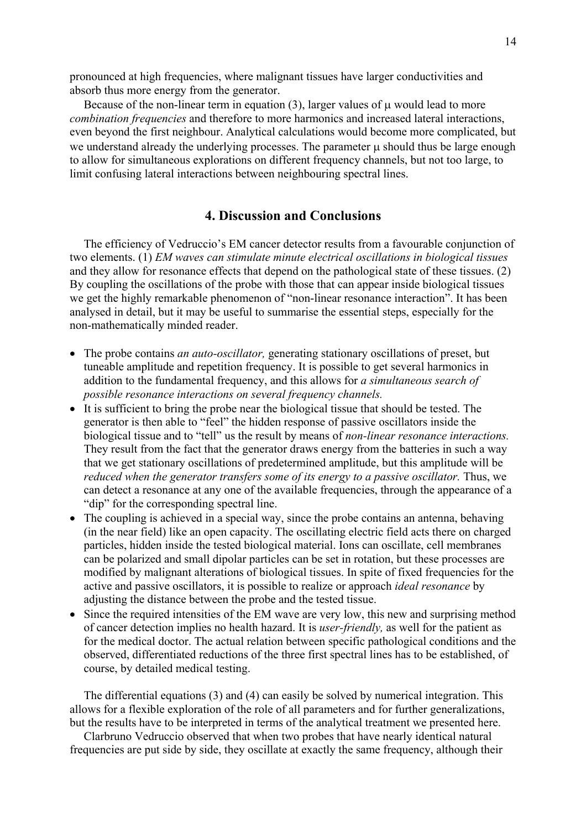pronounced at high frequencies, where malignant tissues have larger conductivities and absorb thus more energy from the generator.

Because of the non-linear term in equation  $(3)$ , larger values of  $\mu$  would lead to more *combination frequencies* and therefore to more harmonics and increased lateral interactions, even beyond the first neighbour. Analytical calculations would become more complicated, but we understand already the underlying processes. The parameter u should thus be large enough to allow for simultaneous explorations on different frequency channels, but not too large, to limit confusing lateral interactions between neighbouring spectral lines.

# **4. Discussion and Conclusions**

The efficiency of Vedruccio's EM cancer detector results from a favourable conjunction of two elements. (1) *EM waves can stimulate minute electrical oscillations in biological tissues*  and they allow for resonance effects that depend on the pathological state of these tissues. (2) By coupling the oscillations of the probe with those that can appear inside biological tissues we get the highly remarkable phenomenon of "non-linear resonance interaction". It has been analysed in detail, but it may be useful to summarise the essential steps, especially for the non-mathematically minded reader.

- The probe contains *an auto-oscillator,* generating stationary oscillations of preset, but tuneable amplitude and repetition frequency. It is possible to get several harmonics in addition to the fundamental frequency, and this allows for *a simultaneous search of possible resonance interactions on several frequency channels.*
- It is sufficient to bring the probe near the biological tissue that should be tested. The generator is then able to "feel" the hidden response of passive oscillators inside the biological tissue and to "tell" us the result by means of *non-linear resonance interactions.* They result from the fact that the generator draws energy from the batteries in such a way that we get stationary oscillations of predetermined amplitude, but this amplitude will be *reduced when the generator transfers some of its energy to a passive oscillator.* Thus, we can detect a resonance at any one of the available frequencies, through the appearance of a "dip" for the corresponding spectral line.
- The coupling is achieved in a special way, since the probe contains an antenna, behaving (in the near field) like an open capacity. The oscillating electric field acts there on charged particles, hidden inside the tested biological material. Ions can oscillate, cell membranes can be polarized and small dipolar particles can be set in rotation, but these processes are modified by malignant alterations of biological tissues. In spite of fixed frequencies for the active and passive oscillators, it is possible to realize or approach *ideal resonance* by adjusting the distance between the probe and the tested tissue.
- Since the required intensities of the EM wave are very low, this new and surprising method of cancer detection implies no health hazard. It is *user-friendly,* as well for the patient as for the medical doctor. The actual relation between specific pathological conditions and the observed, differentiated reductions of the three first spectral lines has to be established, of course, by detailed medical testing.

The differential equations (3) and (4) can easily be solved by numerical integration. This allows for a flexible exploration of the role of all parameters and for further generalizations, but the results have to be interpreted in terms of the analytical treatment we presented here.

Clarbruno Vedruccio observed that when two probes that have nearly identical natural frequencies are put side by side, they oscillate at exactly the same frequency, although their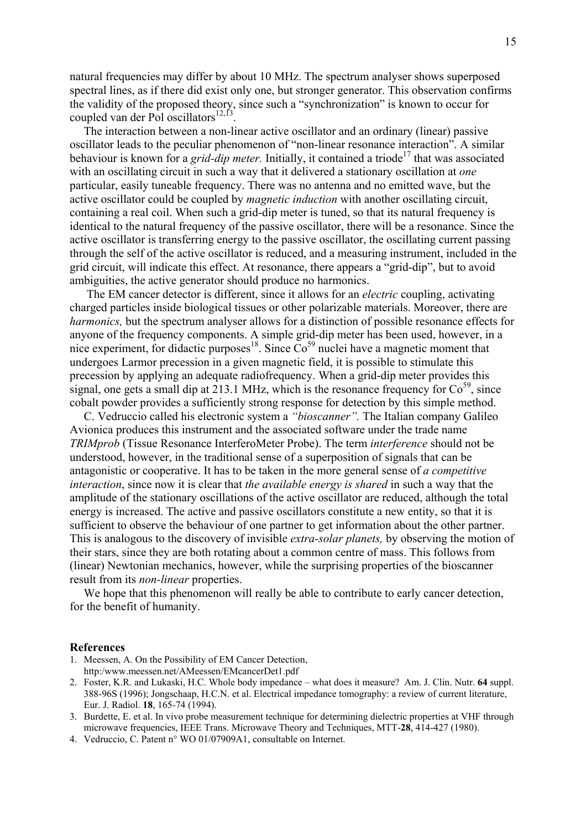natural frequencies may differ by about 10 MHz. The spectrum analyser shows superposed spectral lines, as if there did exist only one, but stronger generator. This observation confirms the validity of the proposed theory, since such a "synchronization" is known to occur for coupled van der Pol oscillators $^{12,13}$ .

The interaction between a non-linear active oscillator and an ordinary (linear) passive oscillator leads to the peculiar phenomenon of "non-linear resonance interaction". A similar behaviour is known for a *grid-dip meter*. Initially, it contained a triode<sup>17</sup> that was associated with an oscillating circuit in such a way that it delivered a stationary oscillation at *one* particular, easily tuneable frequency. There was no antenna and no emitted wave, but the active oscillator could be coupled by *magnetic induction* with another oscillating circuit, containing a real coil. When such a grid-dip meter is tuned, so that its natural frequency is identical to the natural frequency of the passive oscillator, there will be a resonance. Since the active oscillator is transferring energy to the passive oscillator, the oscillating current passing through the self of the active oscillator is reduced, and a measuring instrument, included in the grid circuit, will indicate this effect. At resonance, there appears a "grid-dip", but to avoid ambiguities, the active generator should produce no harmonics.

 The EM cancer detector is different, since it allows for an *electric* coupling, activating charged particles inside biological tissues or other polarizable materials. Moreover, there are *harmonics,* but the spectrum analyser allows for a distinction of possible resonance effects for anyone of the frequency components. A simple grid-dip meter has been used, however, in a nice experiment, for didactic purposes<sup>18</sup>. Since  $\text{Co}^{59}$  nuclei have a magnetic moment that undergoes Larmor precession in a given magnetic field, it is possible to stimulate this precession by applying an adequate radiofrequency. When a grid-dip meter provides this signal, one gets a small dip at 213.1 MHz, which is the resonance frequency for  $Co<sup>59</sup>$ , since cobalt powder provides a sufficiently strong response for detection by this simple method.

C. Vedruccio called his electronic system a *"bioscanner".* The Italian company Galileo Avionica produces this instrument and the associated software under the trade name *TRIMprob* (Tissue Resonance InterferoMeter Probe). The term *interference* should not be understood, however, in the traditional sense of a superposition of signals that can be antagonistic or cooperative. It has to be taken in the more general sense of *a competitive interaction*, since now it is clear that *the available energy is shared* in such a way that the amplitude of the stationary oscillations of the active oscillator are reduced, although the total energy is increased. The active and passive oscillators constitute a new entity, so that it is sufficient to observe the behaviour of one partner to get information about the other partner. This is analogous to the discovery of invisible *extra-solar planets,* by observing the motion of their stars, since they are both rotating about a common centre of mass. This follows from (linear) Newtonian mechanics, however, while the surprising properties of the bioscanner result from its *non-linear* properties.

We hope that this phenomenon will really be able to contribute to early cancer detection, for the benefit of humanity.

#### **References**

- 1. Meessen, A. On the Possibility of EM Cancer Detection, http:/www.meessen.net/AMeessen/EMcancerDet1.pdf
- 2. Foster, K.R. and Lukaski, H.C. Whole body impedance what does it measure? Am. J. Clin. Nutr. **64** suppl. 388-96S (1996); Jongschaap, H.C.N. et al. Electrical impedance tomography: a review of current literature, Eur. J. Radiol. **18**, 165-74 (1994).
- 3. Burdette, E. et al. In vivo probe measurement technique for determining dielectric properties at VHF through microwave frequencies, IEEE Trans. Microwave Theory and Techniques, MTT-**28**, 414-427 (1980).
- 4. Vedruccio, C. Patent n° WO 01/07909A1, consultable on Internet.